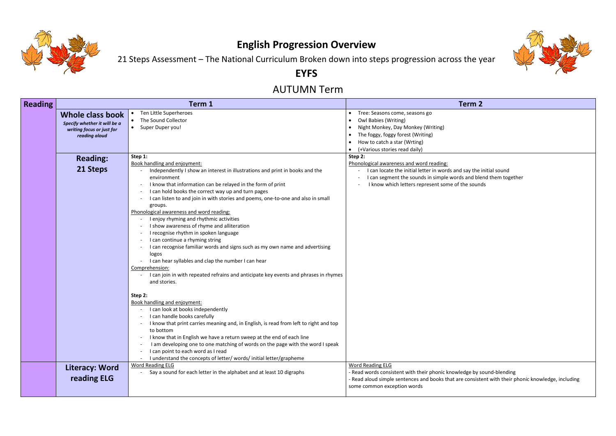

## **English Progression Overview**

21 Steps Assessment – The National Curriculum Broken down into steps progression across the year

### **EYFS**

### AUTUMN Term

| <b>Reading</b> |                                                                                                | Term 1                                                                                                                                                                                                                                                                                                                                                                                                                                                                                                                                                                                                                                                                                                                                                                                                                                     | <b>Term 2</b>                                                                                                                                                                                                   |  |  |  |  |  |
|----------------|------------------------------------------------------------------------------------------------|--------------------------------------------------------------------------------------------------------------------------------------------------------------------------------------------------------------------------------------------------------------------------------------------------------------------------------------------------------------------------------------------------------------------------------------------------------------------------------------------------------------------------------------------------------------------------------------------------------------------------------------------------------------------------------------------------------------------------------------------------------------------------------------------------------------------------------------------|-----------------------------------------------------------------------------------------------------------------------------------------------------------------------------------------------------------------|--|--|--|--|--|
|                | Whole class book<br>Specify whether it will be a<br>writing focus or just for<br>reading aloud | Ten Little Superheroes<br>$\bullet$<br>The Sound Collector<br>Super Duper you!<br>$\bullet$                                                                                                                                                                                                                                                                                                                                                                                                                                                                                                                                                                                                                                                                                                                                                | Tree: Seasons come, seasons go<br>$\bullet$<br>Owl Babies (Writing)<br>Night Monkey, Day Monkey (Writing)<br>The foggy, foggy forest (Writing)<br>How to catch a star (Wrting)<br>(+Various stories read daily) |  |  |  |  |  |
|                | <b>Reading:</b>                                                                                | Step 1:                                                                                                                                                                                                                                                                                                                                                                                                                                                                                                                                                                                                                                                                                                                                                                                                                                    | Step 2:                                                                                                                                                                                                         |  |  |  |  |  |
|                | 21 Steps                                                                                       | Book handling and enjoyment:<br>Independently I show an interest in illustrations and print in books and the<br>environment<br>I know that information can be relayed in the form of print<br>I can hold books the correct way up and turn pages<br>I can listen to and join in with stories and poems, one-to-one and also in small<br>groups.<br>Phonological awareness and word reading:<br>I enjoy rhyming and rhythmic activities<br>I show awareness of rhyme and alliteration<br>I recognise rhythm in spoken language<br>I can continue a rhyming string<br>I can recognise familiar words and signs such as my own name and advertising<br>logos<br>I can hear syllables and clap the number I can hear<br>Comprehension:<br>I can join in with repeated refrains and anticipate key events and phrases in rhymes<br>and stories. | Phonological awareness and word reading:<br>I can locate the initial letter in words and say the i<br>I can segment the sounds in simple words and ble<br>I know which letters represent some of the sound      |  |  |  |  |  |
|                |                                                                                                | Step 2:<br>Book handling and enjoyment:<br>I can look at books independently<br>I can handle books carefully<br>I know that print carries meaning and, in English, is read from left to right and top<br>$\overline{\phantom{a}}$<br>to bottom<br>I know that in English we have a return sweep at the end of each line<br>$\overline{\phantom{a}}$<br>I am developing one to one matching of words on the page with the word I speak<br>$\overline{\phantom{a}}$<br>I can point to each word as I read<br>$\overline{\phantom{a}}$<br>I understand the concepts of letter/ words/ initial letter/grapheme                                                                                                                                                                                                                                 |                                                                                                                                                                                                                 |  |  |  |  |  |
|                | <b>Literacy: Word</b><br>reading ELG                                                           | <b>Word Reading ELG</b><br>Say a sound for each letter in the alphabet and at least 10 digraphs                                                                                                                                                                                                                                                                                                                                                                                                                                                                                                                                                                                                                                                                                                                                            | <b>Word Reading ELG</b><br>- Read words consistent with their phonic knowledge by s<br>- Read aloud simple sentences and books that are consiste<br>some common exception words                                 |  |  |  |  |  |



say the initial sound and blend them together he sounds

dge by sound-blending consistent with their phonic knowledge, including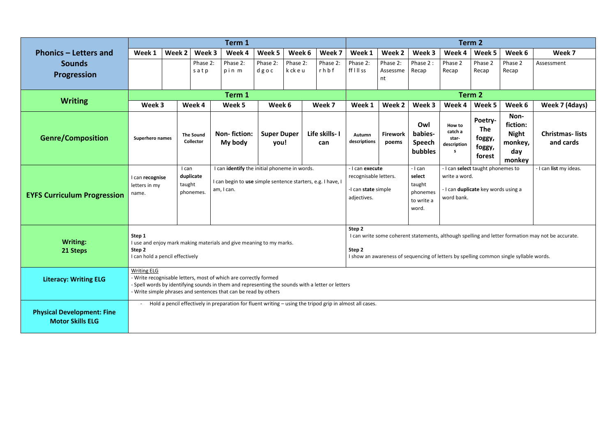|                                                                                 |                                                                                        | Term 1                                                                                                 |                               |                                                                                                                                                                     |                            |                   |                      |                                                                                                                                                                                                                 | Term 2                     |                                                   |                                                 |                                                                          |                                                              |                                     |  |  |  |
|---------------------------------------------------------------------------------|----------------------------------------------------------------------------------------|--------------------------------------------------------------------------------------------------------|-------------------------------|---------------------------------------------------------------------------------------------------------------------------------------------------------------------|----------------------------|-------------------|----------------------|-----------------------------------------------------------------------------------------------------------------------------------------------------------------------------------------------------------------|----------------------------|---------------------------------------------------|-------------------------------------------------|--------------------------------------------------------------------------|--------------------------------------------------------------|-------------------------------------|--|--|--|
| <b>Phonics - Letters and</b>                                                    | Week 1                                                                                 | Week 2                                                                                                 | Week 3                        | Week 4                                                                                                                                                              | Week 5                     | Week 6            | Week 7               | Week 1                                                                                                                                                                                                          | Week 2                     | Week 3                                            | Week 4                                          | Week 5                                                                   | Week 6                                                       | Week 7                              |  |  |  |
| <b>Sounds</b><br>Progression                                                    |                                                                                        |                                                                                                        | Phase 2:<br>satp              | Phase 2:<br>pin m                                                                                                                                                   | Phase 2:<br>dgoc           | Phase 2:<br>kckeu | Phase 2:<br>rhbf     | Phase 2:<br>ff I II ss                                                                                                                                                                                          | Phase 2:<br>Assessme<br>nt | Phase 2:<br>Recap                                 | Phase 2<br>Recap                                | Phase 2<br>Recap                                                         | Phase 2<br>Recap                                             | Assessment                          |  |  |  |
|                                                                                 |                                                                                        | Term 2<br>Term 1                                                                                       |                               |                                                                                                                                                                     |                            |                   |                      |                                                                                                                                                                                                                 |                            |                                                   |                                                 |                                                                          |                                                              |                                     |  |  |  |
| <b>Writing</b>                                                                  | Week 3                                                                                 |                                                                                                        | Week 4                        | Week 5                                                                                                                                                              | Week 6                     |                   | Week 7               | Week 1                                                                                                                                                                                                          | Week 2                     | Week 3                                            | Week 4                                          | Week 5                                                                   | Week 6                                                       | Week 7 (4days)                      |  |  |  |
| <b>Genre/Composition</b><br>Superhero names                                     |                                                                                        |                                                                                                        | <b>The Sound</b><br>Collector | <b>Non-fiction:</b><br>My body                                                                                                                                      | <b>Super Duper</b><br>you! |                   | Life skills-1<br>can | Autumn<br>descriptions                                                                                                                                                                                          | <b>Firework</b><br>poems   | Owl<br>babies-<br><b>Speech</b><br><b>bubbles</b> | How to<br>catch a<br>star-<br>description<br>s. | Poetry-<br><b>The</b><br>foggy,<br>foggy,<br>forest                      | Non-<br>fiction:<br><b>Night</b><br>monkey,<br>day<br>monkey | <b>Christmas-lists</b><br>and cards |  |  |  |
| I can recognise<br>letters in my<br>name.<br><b>EYFS Curriculum Progression</b> |                                                                                        | I can<br>taught                                                                                        | duplicate<br>phonemes.        | I can identify the initial phoneme in words.<br>I can begin to use simple sentence starters, e.g. I have, I<br>am, I can.                                           |                            |                   |                      | - I can<br>- I can execute<br>recognisable letters.<br>select<br>taught<br>-I can state simple<br>phonemes<br>adjectives.<br>to write a<br>word.                                                                |                            |                                                   | write a word.<br>word bank.                     | - I can select taught phonemes to<br>- I can duplicate key words using a | - I can list my ideas.                                       |                                     |  |  |  |
| <b>Writing:</b><br>21 Steps                                                     | Step 1<br>Step 2                                                                       | I use and enjoy mark making materials and give meaning to my marks.<br>I can hold a pencil effectively |                               |                                                                                                                                                                     |                            |                   |                      | Step 2<br>I can write some coherent statements, although spelling and letter formation may not be accurate.<br>Step 2<br>I show an awareness of sequencing of letters by spelling common single syllable words. |                            |                                                   |                                                 |                                                                          |                                                              |                                     |  |  |  |
| <b>Literacy: Writing ELG</b>                                                    | <b>Writing ELG</b><br>- Write recognisable letters, most of which are correctly formed |                                                                                                        |                               | - Spell words by identifying sounds in them and representing the sounds with a letter or letters<br>- Write simple phrases and sentences that can be read by others |                            |                   |                      |                                                                                                                                                                                                                 |                            |                                                   |                                                 |                                                                          |                                                              |                                     |  |  |  |
| <b>Physical Development: Fine</b><br><b>Motor Skills ELG</b>                    |                                                                                        |                                                                                                        |                               | Hold a pencil effectively in preparation for fluent writing - using the tripod grip in almost all cases.                                                            |                            |                   |                      |                                                                                                                                                                                                                 |                            |                                                   |                                                 |                                                                          |                                                              |                                     |  |  |  |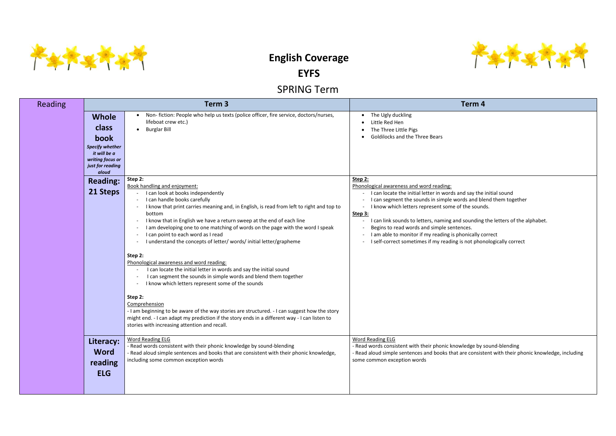

# **English Coverage**

**EYFS**

SPRING Term

| <b>Reading</b> |                                                                                                                          | Term 3                                                                                                                                                                                                                                                                                                                                                                                                                                                                                                                                                                                                                                                                                                                                                                                                                                                                                                                                                                                                                        | Term 4                                                                                                                                                                                                                                                                                                                                                                                                                                         |  |  |  |  |
|----------------|--------------------------------------------------------------------------------------------------------------------------|-------------------------------------------------------------------------------------------------------------------------------------------------------------------------------------------------------------------------------------------------------------------------------------------------------------------------------------------------------------------------------------------------------------------------------------------------------------------------------------------------------------------------------------------------------------------------------------------------------------------------------------------------------------------------------------------------------------------------------------------------------------------------------------------------------------------------------------------------------------------------------------------------------------------------------------------------------------------------------------------------------------------------------|------------------------------------------------------------------------------------------------------------------------------------------------------------------------------------------------------------------------------------------------------------------------------------------------------------------------------------------------------------------------------------------------------------------------------------------------|--|--|--|--|
|                | <b>Whole</b><br>class<br>book<br><b>Specify whether</b><br>it will be a<br>writing focus or<br>just for reading<br>aloud | Non-fiction: People who help us texts (police officer, fire service, doctors/nurses,<br>lifeboat crew etc.)<br><b>Burglar Bill</b>                                                                                                                                                                                                                                                                                                                                                                                                                                                                                                                                                                                                                                                                                                                                                                                                                                                                                            | The Ugly duckling<br>Little Red Hen<br>The Three Little Pigs<br><b>Goldilocks and the Three Bears</b>                                                                                                                                                                                                                                                                                                                                          |  |  |  |  |
|                | <b>Reading:</b><br>21 Steps                                                                                              | Step 2:<br>Book handling and enjoyment:<br>I can look at books independently<br>I can handle books carefully<br>I know that print carries meaning and, in English, is read from left to right and top to<br>bottom<br>I know that in English we have a return sweep at the end of each line<br>I am developing one to one matching of words on the page with the word I speak<br>I can point to each word as I read<br>I understand the concepts of letter/words/initial letter/grapheme<br>Step 2:<br>Phonological awareness and word reading:<br>I can locate the initial letter in words and say the initial sound<br>I can segment the sounds in simple words and blend them together<br>I know which letters represent some of the sounds<br>Step 2:<br>Comprehension<br>- I am beginning to be aware of the way stories are structured. - I can suggest how the story<br>might end. - I can adapt my prediction if the story ends in a different way - I can listen to<br>stories with increasing attention and recall. | Step 2:<br>Phonological awareness and word reading:<br>I can locate the initial letter in words and say the<br>I can segment the sounds in simple words and ble<br>I know which letters represent some of the sound<br>Step 3:<br>I can link sounds to letters, naming and sounding<br>Begins to read words and simple sentences.<br>I am able to monitor if my reading is phonically co<br>I self-correct sometimes if my reading is not phor |  |  |  |  |
|                | Literacy:<br><b>Word</b><br>reading<br><b>ELG</b>                                                                        | Word Reading ELG<br>- Read words consistent with their phonic knowledge by sound-blending<br>- Read aloud simple sentences and books that are consistent with their phonic knowledge,<br>including some common exception words                                                                                                                                                                                                                                                                                                                                                                                                                                                                                                                                                                                                                                                                                                                                                                                                | <b>Word Reading ELG</b><br>- Read words consistent with their phonic knowledge by s<br>- Read aloud simple sentences and books that are consist<br>some common exception words                                                                                                                                                                                                                                                                 |  |  |  |  |



I say the initial sound s and blend them together he sounds.

ounding the letters of the alphabet. nically correct

not phonologically correct

edge by sound-blending e consistent with their phonic knowledge, including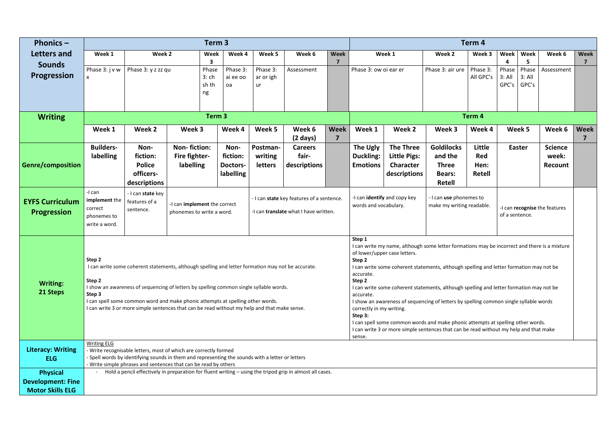| Phonics $-$                                                            |                                                                                                                                                                                                                                                                                                                                                                                                                                                                                                                                                                                                                                                                                                                                                                                                                                                                                                                                                                                                                                                                                                                 |                                                                | Term 3                                                                                                                                                                    |                                           |                                       | Term 4                                  |             |                                                                                                                                                                  |                                                                             |                                                                                |                                               |                                                           |               |                                    |                |
|------------------------------------------------------------------------|-----------------------------------------------------------------------------------------------------------------------------------------------------------------------------------------------------------------------------------------------------------------------------------------------------------------------------------------------------------------------------------------------------------------------------------------------------------------------------------------------------------------------------------------------------------------------------------------------------------------------------------------------------------------------------------------------------------------------------------------------------------------------------------------------------------------------------------------------------------------------------------------------------------------------------------------------------------------------------------------------------------------------------------------------------------------------------------------------------------------|----------------------------------------------------------------|---------------------------------------------------------------------------------------------------------------------------------------------------------------------------|-------------------------------------------|---------------------------------------|-----------------------------------------|-------------|------------------------------------------------------------------------------------------------------------------------------------------------------------------|-----------------------------------------------------------------------------|--------------------------------------------------------------------------------|-----------------------------------------------|-----------------------------------------------------------|---------------|------------------------------------|----------------|
| Letters and                                                            | Week 1                                                                                                                                                                                                                                                                                                                                                                                                                                                                                                                                                                                                                                                                                                                                                                                                                                                                                                                                                                                                                                                                                                          | Week 2                                                         | Week                                                                                                                                                                      | Week 4                                    | Week 5                                | Week 6                                  | <b>Week</b> |                                                                                                                                                                  | Week 1                                                                      | Week 2                                                                         | Week 3                                        | Week                                                      | Week          | Week 6                             | <b>Week</b>    |
| <b>Sounds</b><br><b>Progression</b>                                    | Phase 3: j v w                                                                                                                                                                                                                                                                                                                                                                                                                                                                                                                                                                                                                                                                                                                                                                                                                                                                                                                                                                                                                                                                                                  | Phase 3: y z zz qu                                             | Phase<br>$3:$ ch<br>sh th<br>ng                                                                                                                                           | Phase 3:<br>ai ee oo<br>oa                | Phase 3:<br>ar or igh<br>ur           | Assessment                              | 7           | Phase 3: ow oi ear er                                                                                                                                            |                                                                             | Phase 3: air ure                                                               | Phase 3:<br>All GPC's                         | Δ<br>Phase<br>Phase<br>3: All<br>3: All<br>GPC's<br>GPC's |               | Assessment                         | $\overline{7}$ |
|                                                                        |                                                                                                                                                                                                                                                                                                                                                                                                                                                                                                                                                                                                                                                                                                                                                                                                                                                                                                                                                                                                                                                                                                                 |                                                                |                                                                                                                                                                           |                                           |                                       |                                         |             |                                                                                                                                                                  |                                                                             |                                                                                |                                               |                                                           |               |                                    |                |
| <b>Writing</b>                                                         |                                                                                                                                                                                                                                                                                                                                                                                                                                                                                                                                                                                                                                                                                                                                                                                                                                                                                                                                                                                                                                                                                                                 |                                                                | Term <sub>3</sub>                                                                                                                                                         |                                           |                                       |                                         |             | Term 4                                                                                                                                                           |                                                                             |                                                                                |                                               |                                                           |               |                                    |                |
|                                                                        | Week 1                                                                                                                                                                                                                                                                                                                                                                                                                                                                                                                                                                                                                                                                                                                                                                                                                                                                                                                                                                                                                                                                                                          | Week 2                                                         | Week 3                                                                                                                                                                    | Week 4                                    | Week 5                                | Week 6<br>$(2 \text{ days})$            | Week<br>7   | Week 1                                                                                                                                                           | Week 2                                                                      | Week 3                                                                         | Week 4                                        |                                                           | Week 5        | Week 6                             | <b>Week</b>    |
| <b>Genre/composition</b>                                               | <b>Builders-</b><br>labelling                                                                                                                                                                                                                                                                                                                                                                                                                                                                                                                                                                                                                                                                                                                                                                                                                                                                                                                                                                                                                                                                                   | Non-<br>fiction:<br><b>Police</b><br>officers-<br>descriptions | <b>Non-fiction:</b><br>Fire fighter-<br>labelling                                                                                                                         | Non-<br>fiction:<br>Doctors-<br>labelling | Postman-<br>writing<br><b>letters</b> | <b>Careers</b><br>fair-<br>descriptions |             | The Ugly<br>Duckling:<br><b>Emotions</b>                                                                                                                         | <b>The Three</b><br><b>Little Pigs:</b><br><b>Character</b><br>descriptions | <b>Goldilocks</b><br>and the<br><b>Three</b><br><b>Bears:</b><br><b>Retell</b> | Little<br><b>Red</b><br>Hen:<br><b>Retell</b> |                                                           | <b>Easter</b> | <b>Science</b><br>week:<br>Recount |                |
| <b>EYFS Curriculum</b><br><b>Progression</b>                           | -I can<br>implement the<br>correct<br>phonemes to<br>write a word.                                                                                                                                                                                                                                                                                                                                                                                                                                                                                                                                                                                                                                                                                                                                                                                                                                                                                                                                                                                                                                              | - I can state key<br>features of a<br>sentence.                | - I can state key features of a sentence.<br>-I can implement the correct<br>-I can translate what I have written.<br>phonemes to write a word.                           |                                           |                                       |                                         |             | - I can use phonemes to<br>-I can identify and copy key<br>words and vocabulary.<br>make my writing readable.<br>-I can recognise the features<br>of a sentence. |                                                                             |                                                                                |                                               |                                                           |               |                                    |                |
| <b>Writing:</b><br>21 Steps                                            | Step 1<br>I can write my name, although some letter formations may be incorrect and there is a mixture<br>of lower/upper case letters.<br>Step 2<br>Step 2<br>I can write some coherent statements, although spelling and letter formation may not be accurate.<br>I can write some coherent statements, although spelling and letter formation may not be<br>accurate.<br>Step 2<br>Step 2<br>I show an awareness of sequencing of letters by spelling common single syllable words.<br>I can write some coherent statements, although spelling and letter formation may not be<br>Step 3<br>accurate.<br>I can spell some common word and make phonic attempts at spelling other words.<br>I show an awareness of sequencing of letters by spelling common single syllable words<br>I can write 3 or more simple sentences that can be read without my help and that make sense.<br>correctly in my writing.<br>Step 3:<br>I can spell some common words and make phonic attempts at spelling other words.<br>I can write 3 or more simple sentences that can be read without my help and that make<br>sense. |                                                                |                                                                                                                                                                           |                                           |                                       |                                         |             |                                                                                                                                                                  |                                                                             |                                                                                |                                               |                                                           |               |                                    |                |
| <b>Literacy: Writing</b><br><b>ELG</b>                                 | <b>Writing ELG</b><br>Write recognisable letters, most of which are correctly formed<br>Spell words by identifying sounds in them and representing the sounds with a letter or letters                                                                                                                                                                                                                                                                                                                                                                                                                                                                                                                                                                                                                                                                                                                                                                                                                                                                                                                          |                                                                |                                                                                                                                                                           |                                           |                                       |                                         |             |                                                                                                                                                                  |                                                                             |                                                                                |                                               |                                                           |               |                                    |                |
| <b>Physical</b><br><b>Development: Fine</b><br><b>Motor Skills ELG</b> |                                                                                                                                                                                                                                                                                                                                                                                                                                                                                                                                                                                                                                                                                                                                                                                                                                                                                                                                                                                                                                                                                                                 |                                                                | Write simple phrases and sentences that can be read by others<br>Hold a pencil effectively in preparation for fluent writing - using the tripod grip in almost all cases. |                                           |                                       |                                         |             |                                                                                                                                                                  |                                                                             |                                                                                |                                               |                                                           |               |                                    |                |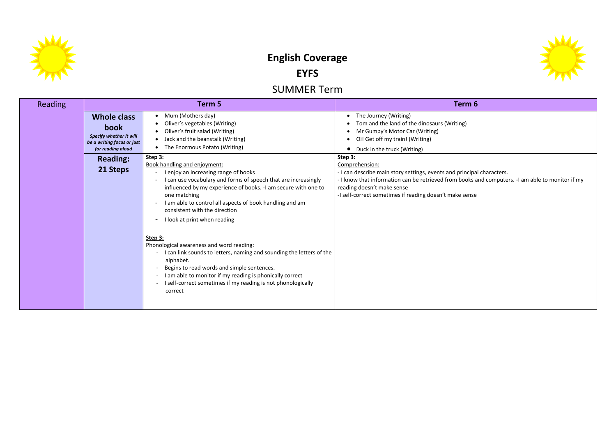

# **English Coverage EYFS**

## SUMMER Term

| <b>Reading</b> |                                                                                                          | Term 5                                                                                                                                                                                                                                                                                                                                                                                                                                                                                                                                                                                                                                                                                            | Term <sub>6</sub>                                                                                                                                                                                                                          |  |  |  |  |  |
|----------------|----------------------------------------------------------------------------------------------------------|---------------------------------------------------------------------------------------------------------------------------------------------------------------------------------------------------------------------------------------------------------------------------------------------------------------------------------------------------------------------------------------------------------------------------------------------------------------------------------------------------------------------------------------------------------------------------------------------------------------------------------------------------------------------------------------------------|--------------------------------------------------------------------------------------------------------------------------------------------------------------------------------------------------------------------------------------------|--|--|--|--|--|
|                | <b>Whole class</b><br>book<br>Specify whether it will<br>be a writing focus or just<br>for reading aloud | Mum (Mothers day)<br>٠<br>Oliver's vegetables (Writing)<br>Oliver's fruit salad (Writing)<br>Jack and the beanstalk (Writing)<br>The Enormous Potato (Writing)                                                                                                                                                                                                                                                                                                                                                                                                                                                                                                                                    | The Journey (Writing)<br>$\bullet$<br>Tom and the land of the dinosaurs (Writing)<br>Mr Gumpy's Motor Car (Writing)<br>Oi! Get off my train! (Writing)<br>Duck in the truck (Writing)                                                      |  |  |  |  |  |
|                | <b>Reading:</b><br>21 Steps                                                                              | Step 3:<br>Book handling and enjoyment:<br>I enjoy an increasing range of books<br>I can use vocabulary and forms of speech that are increasingly<br>influenced by my experience of books. -I am secure with one to<br>one matching<br>I am able to control all aspects of book handling and am<br>consistent with the direction<br>I look at print when reading<br>Step 3:<br>Phonological awareness and word reading:<br>I can link sounds to letters, naming and sounding the letters of the<br>alphabet.<br>Begins to read words and simple sentences.<br>I am able to monitor if my reading is phonically correct<br>I self-correct sometimes if my reading is not phonologically<br>correct | Step 3:<br>Comprehension:<br>- I can describe main story settings, events and principa<br>- I know that information can be retrieved from books a<br>reading doesn't make sense<br>-I self-correct sometimes if reading doesn't make sense |  |  |  |  |  |



n cipal characters. oks and computers. -I am able to monitor if my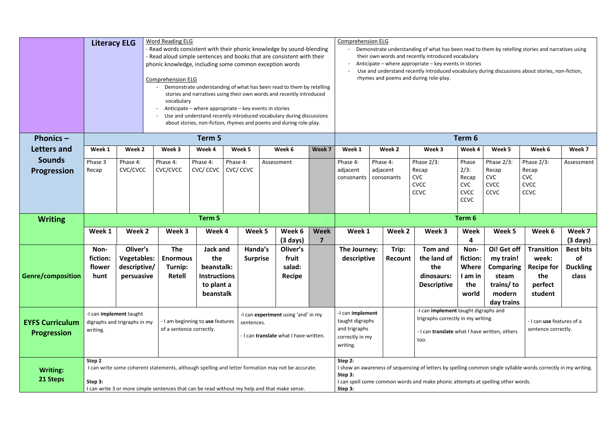|                                              | <b>Word Reading ELG</b><br><b>Literacy ELG</b><br>Read words consistent with their phonic knowledge by sound-blending<br>Read aloud simple sentences and books that are consistent with their<br>phonic knowledge, including some common exception words<br><b>Comprehension ELG</b><br>Demonstrate understanding of what has been read to them by retelling<br>stories and narratives using their own words and recently introduced<br>vocabulary |                                                              |                                                                                                                                                                                                      |                                                                                        |                            |                                              |                  | <b>Comprehension ELG</b><br>Demonstrate understanding of what has been read to them by retelling stories and narratives using<br>their own words and recently introduced vocabulary<br>Anticipate – where appropriate – key events in stories<br>Use and understand recently introduced vocabulary during discussions about stories, non-fiction,<br>rhymes and poems and during role-play. |                                                                                                                                                                                                                                    |                                                                   |                                                                       |                                                                         |                                                                                       |                                                                  |  |  |
|----------------------------------------------|----------------------------------------------------------------------------------------------------------------------------------------------------------------------------------------------------------------------------------------------------------------------------------------------------------------------------------------------------------------------------------------------------------------------------------------------------|--------------------------------------------------------------|------------------------------------------------------------------------------------------------------------------------------------------------------------------------------------------------------|----------------------------------------------------------------------------------------|----------------------------|----------------------------------------------|------------------|---------------------------------------------------------------------------------------------------------------------------------------------------------------------------------------------------------------------------------------------------------------------------------------------------------------------------------------------------------------------------------------------|------------------------------------------------------------------------------------------------------------------------------------------------------------------------------------------------------------------------------------|-------------------------------------------------------------------|-----------------------------------------------------------------------|-------------------------------------------------------------------------|---------------------------------------------------------------------------------------|------------------------------------------------------------------|--|--|
|                                              |                                                                                                                                                                                                                                                                                                                                                                                                                                                    |                                                              | Anticipate – where appropriate – key events in stories<br>Use and understand recently introduced vocabulary during discussions<br>about stories, non-fiction, rhymes and poems and during role-play. |                                                                                        |                            |                                              |                  |                                                                                                                                                                                                                                                                                                                                                                                             |                                                                                                                                                                                                                                    |                                                                   |                                                                       |                                                                         |                                                                                       |                                                                  |  |  |
| Phonics $-$                                  |                                                                                                                                                                                                                                                                                                                                                                                                                                                    |                                                              |                                                                                                                                                                                                      | Term 5                                                                                 |                            |                                              |                  |                                                                                                                                                                                                                                                                                                                                                                                             |                                                                                                                                                                                                                                    |                                                                   | Term 6                                                                |                                                                         |                                                                                       |                                                                  |  |  |
| Letters and                                  | Week 1                                                                                                                                                                                                                                                                                                                                                                                                                                             | Week 2                                                       | Week 3                                                                                                                                                                                               | Week 4                                                                                 | Week 5                     | Week 6                                       | Week 7           | Week 1                                                                                                                                                                                                                                                                                                                                                                                      | Week 2                                                                                                                                                                                                                             | Week 3                                                            | Week 4                                                                | Week 5                                                                  | Week 6                                                                                | Week 7                                                           |  |  |
| <b>Sounds</b><br><b>Progression</b>          | Phase 3<br>Recap                                                                                                                                                                                                                                                                                                                                                                                                                                   | Phase 4:<br>CVC/CVCC                                         | Phase 4:<br>CVC/CVCC                                                                                                                                                                                 | Phase 4:<br>CVC/CCVC                                                                   | Phase 4:<br>CVC/CCVC       | Assessment                                   |                  | Phase 4:<br>adjacent<br>consonants                                                                                                                                                                                                                                                                                                                                                          | Phase 4:<br>adjacent<br>consonants                                                                                                                                                                                                 | Phase 2/3:<br>Recap<br><b>CVC</b><br><b>CVCC</b><br><b>CCVC</b>   | Phase<br>$2/3$ :<br>Recap<br><b>CVC</b><br><b>CVCC</b><br><b>CCVC</b> | Phase 2/3:<br>Recap<br><b>CVC</b><br><b>CVCC</b><br><b>CCVC</b>         | Phase $2/3$ :<br>Recap<br><b>CVC</b><br><b>CVCC</b><br><b>CCVC</b>                    | Assessment                                                       |  |  |
| <b>Writing</b>                               |                                                                                                                                                                                                                                                                                                                                                                                                                                                    |                                                              |                                                                                                                                                                                                      | Term 5                                                                                 |                            |                                              |                  | Term 6                                                                                                                                                                                                                                                                                                                                                                                      |                                                                                                                                                                                                                                    |                                                                   |                                                                       |                                                                         |                                                                                       |                                                                  |  |  |
|                                              | Week 1                                                                                                                                                                                                                                                                                                                                                                                                                                             | Week 2                                                       | Week 3                                                                                                                                                                                               | Week 4                                                                                 | Week 5                     | Week 6<br>$(3 \text{ days})$                 | <b>Week</b><br>7 | Week 1                                                                                                                                                                                                                                                                                                                                                                                      | Week 2                                                                                                                                                                                                                             | Week 3                                                            | Week<br>4                                                             | Week 5                                                                  | Week 6                                                                                | Week 7<br>(3 days)                                               |  |  |
| <b>Genre/composition</b>                     | Non-<br>fiction:<br>flower<br>hunt                                                                                                                                                                                                                                                                                                                                                                                                                 | Oliver's<br><b>Vegetables:</b><br>descriptive/<br>persuasive | <b>The</b><br><b>Enormous</b><br>Turnip:<br><b>Retell</b>                                                                                                                                            | <b>Jack and</b><br>the<br>beanstalk:<br><b>Instructions</b><br>to plant a<br>beanstalk | Handa's<br><b>Surprise</b> | Oliver's<br>fruit<br>salad:<br><b>Recipe</b> |                  | The Journey:<br>descriptive                                                                                                                                                                                                                                                                                                                                                                 | Trip:<br>Recount                                                                                                                                                                                                                   | Tom and<br>the land of<br>the<br>dinosaurs:<br><b>Descriptive</b> | Non-<br>fiction:<br>Where<br>l am in<br>the<br>world                  | Oi! Get off<br>my train!<br>steam<br>trains/ to<br>modern<br>day trains | <b>Transition</b><br>week:<br>Comparing   Recipe for $ $<br>the<br>perfect<br>student | <b>Best bits</b><br><b>of</b><br><b>Duckling</b><br><b>class</b> |  |  |
| <b>EYFS Curriculum</b><br><b>Progression</b> | -I can implement taught<br>writing.                                                                                                                                                                                                                                                                                                                                                                                                                | digraphs and trigraphs in my                                 | -I can experiment using 'and' in my<br>- I am beginning to use features<br>sentences.<br>of a sentence correctly.<br>- I can translate what I have written.                                          |                                                                                        |                            |                                              |                  | -I can implement taught digraphs and<br>-I can implement<br>trigraphs correctly in my writing.<br>taught digraphs<br>- I can use features of a<br>and trigraphs<br>sentence correctly.<br>I can translate what I have written, others<br>correctly in my<br>too.<br>writing.                                                                                                                |                                                                                                                                                                                                                                    |                                                                   |                                                                       |                                                                         |                                                                                       |                                                                  |  |  |
| <b>Writing:</b><br>21 Steps                  | Step 2<br>I can write some coherent statements, although spelling and letter formation may not be accurate.<br>Step 3:<br>I can write 3 or more simple sentences that can be read without my help and that make sense.                                                                                                                                                                                                                             |                                                              |                                                                                                                                                                                                      |                                                                                        |                            |                                              |                  |                                                                                                                                                                                                                                                                                                                                                                                             | Step 2:<br>I show an awareness of sequencing of letters by spelling common single syllable words correctly in my writing.<br>Step 3:<br>I can spell some common words and make phonic attempts at spelling other words.<br>Step 3: |                                                                   |                                                                       |                                                                         |                                                                                       |                                                                  |  |  |

- 
-